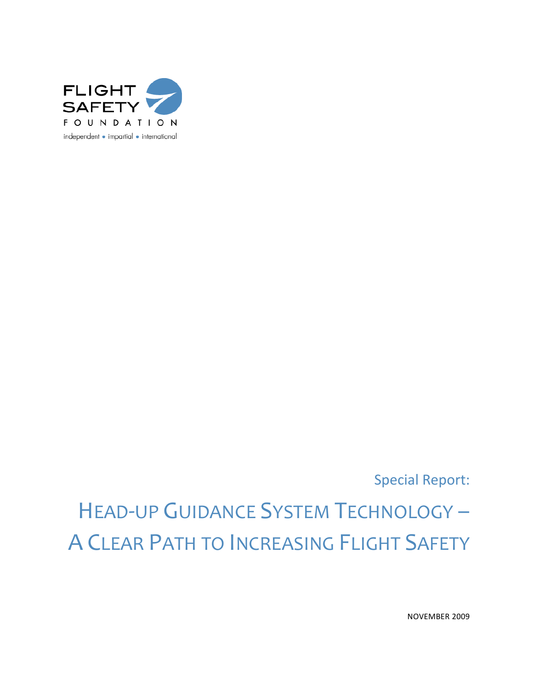

Special Report:

# HEAD-UP GUIDANCE SYSTEM TECHNOLOGY – A CLEAR PATH TO INCREASING FLIGHT SAFETY

NOVEMBER 2009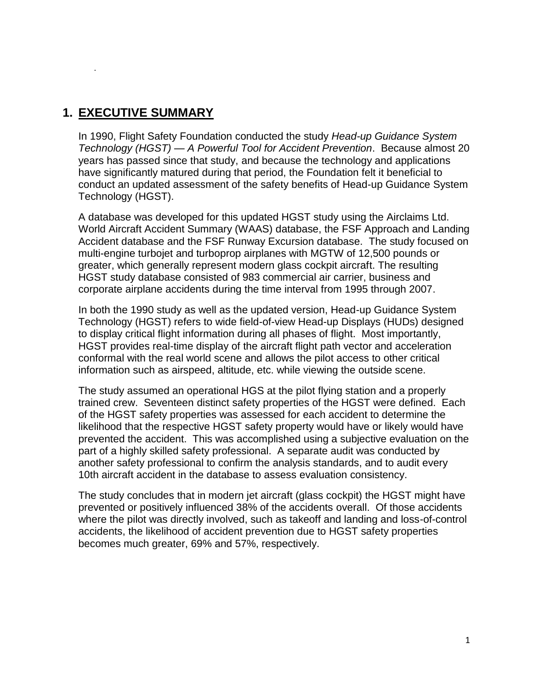## **1. EXECUTIVE SUMMARY**

.

In 1990, Flight Safety Foundation conducted the study *Head-up Guidance System Technology (HGST) — A Powerful Tool for Accident Prevention*. Because almost 20 years has passed since that study, and because the technology and applications have significantly matured during that period, the Foundation felt it beneficial to conduct an updated assessment of the safety benefits of Head-up Guidance System Technology (HGST).

A database was developed for this updated HGST study using the Airclaims Ltd. World Aircraft Accident Summary (WAAS) database, the FSF Approach and Landing Accident database and the FSF Runway Excursion database. The study focused on multi-engine turbojet and turboprop airplanes with MGTW of 12,500 pounds or greater, which generally represent modern glass cockpit aircraft. The resulting HGST study database consisted of 983 commercial air carrier, business and corporate airplane accidents during the time interval from 1995 through 2007.

In both the 1990 study as well as the updated version, Head-up Guidance System Technology (HGST) refers to wide field-of-view Head-up Displays (HUDs) designed to display critical flight information during all phases of flight. Most importantly, HGST provides real-time display of the aircraft flight path vector and acceleration conformal with the real world scene and allows the pilot access to other critical information such as airspeed, altitude, etc. while viewing the outside scene.

The study assumed an operational HGS at the pilot flying station and a properly trained crew. Seventeen distinct safety properties of the HGST were defined. Each of the HGST safety properties was assessed for each accident to determine the likelihood that the respective HGST safety property would have or likely would have prevented the accident. This was accomplished using a subjective evaluation on the part of a highly skilled safety professional. A separate audit was conducted by another safety professional to confirm the analysis standards, and to audit every 10th aircraft accident in the database to assess evaluation consistency.

The study concludes that in modern jet aircraft (glass cockpit) the HGST might have prevented or positively influenced 38% of the accidents overall. Of those accidents where the pilot was directly involved, such as takeoff and landing and loss-of-control accidents, the likelihood of accident prevention due to HGST safety properties becomes much greater, 69% and 57%, respectively.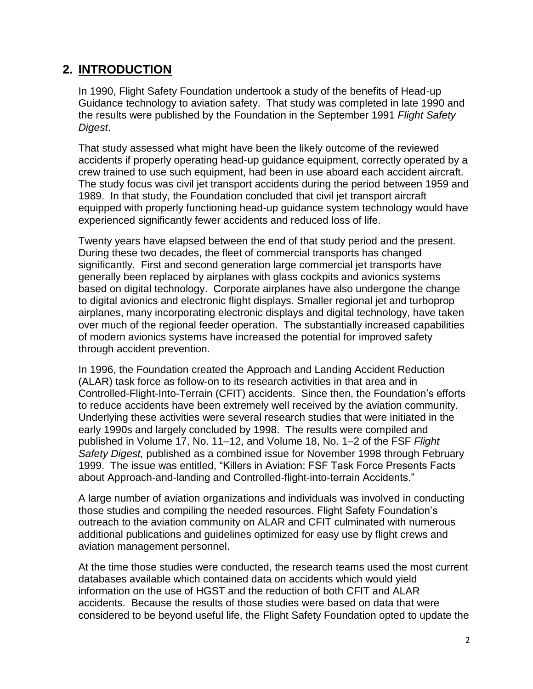## **2. INTRODUCTION**

In 1990, Flight Safety Foundation undertook a study of the benefits of Head-up Guidance technology to aviation safety. That study was completed in late 1990 and the results were published by the Foundation in the September 1991 *Flight Safety Digest*.

That study assessed what might have been the likely outcome of the reviewed accidents if properly operating head-up guidance equipment, correctly operated by a crew trained to use such equipment, had been in use aboard each accident aircraft. The study focus was civil jet transport accidents during the period between 1959 and 1989. In that study, the Foundation concluded that civil jet transport aircraft equipped with properly functioning head-up guidance system technology would have experienced significantly fewer accidents and reduced loss of life.

Twenty years have elapsed between the end of that study period and the present. During these two decades, the fleet of commercial transports has changed significantly. First and second generation large commercial jet transports have generally been replaced by airplanes with glass cockpits and avionics systems based on digital technology. Corporate airplanes have also undergone the change to digital avionics and electronic flight displays. Smaller regional jet and turboprop airplanes, many incorporating electronic displays and digital technology, have taken over much of the regional feeder operation. The substantially increased capabilities of modern avionics systems have increased the potential for improved safety through accident prevention.

In 1996, the Foundation created the Approach and Landing Accident Reduction (ALAR) task force as follow-on to its research activities in that area and in Controlled-Flight-Into-Terrain (CFIT) accidents. Since then, the Foundation's efforts to reduce accidents have been extremely well received by the aviation community. Underlying these activities were several research studies that were initiated in the early 1990s and largely concluded by 1998. The results were compiled and published in Volume 17, No. 11–12, and Volume 18, No. 1–2 of the FSF *Flight Safety Digest,* published as a combined issue for November 1998 through February 1999. The issue was entitled, "Killers in Aviation: FSF Task Force Presents Facts about Approach-and-landing and Controlled-flight-into-terrain Accidents."

A large number of aviation organizations and individuals was involved in conducting those studies and compiling the needed resources. Flight Safety Foundation's outreach to the aviation community on ALAR and CFIT culminated with numerous additional publications and guidelines optimized for easy use by flight crews and aviation management personnel.

At the time those studies were conducted, the research teams used the most current databases available which contained data on accidents which would yield information on the use of HGST and the reduction of both CFIT and ALAR accidents. Because the results of those studies were based on data that were considered to be beyond useful life, the Flight Safety Foundation opted to update the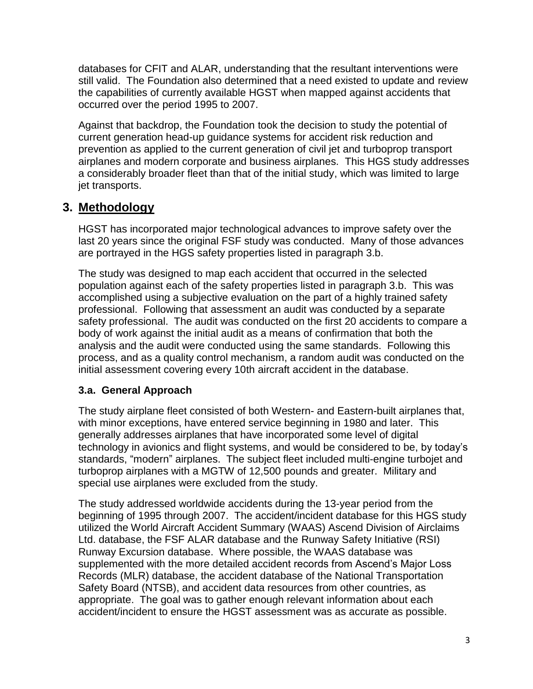databases for CFIT and ALAR, understanding that the resultant interventions were still valid. The Foundation also determined that a need existed to update and review the capabilities of currently available HGST when mapped against accidents that occurred over the period 1995 to 2007.

Against that backdrop, the Foundation took the decision to study the potential of current generation head-up guidance systems for accident risk reduction and prevention as applied to the current generation of civil jet and turboprop transport airplanes and modern corporate and business airplanes. This HGS study addresses a considerably broader fleet than that of the initial study, which was limited to large jet transports.

## **3. Methodology**

HGST has incorporated major technological advances to improve safety over the last 20 years since the original FSF study was conducted. Many of those advances are portrayed in the HGS safety properties listed in paragraph 3.b.

The study was designed to map each accident that occurred in the selected population against each of the safety properties listed in paragraph 3.b. This was accomplished using a subjective evaluation on the part of a highly trained safety professional. Following that assessment an audit was conducted by a separate safety professional. The audit was conducted on the first 20 accidents to compare a body of work against the initial audit as a means of confirmation that both the analysis and the audit were conducted using the same standards. Following this process, and as a quality control mechanism, a random audit was conducted on the initial assessment covering every 10th aircraft accident in the database.

## **3.a. General Approach**

The study airplane fleet consisted of both Western- and Eastern-built airplanes that, with minor exceptions, have entered service beginning in 1980 and later. This generally addresses airplanes that have incorporated some level of digital technology in avionics and flight systems, and would be considered to be, by today's standards, "modern" airplanes. The subject fleet included multi-engine turbojet and turboprop airplanes with a MGTW of 12,500 pounds and greater. Military and special use airplanes were excluded from the study.

The study addressed worldwide accidents during the 13-year period from the beginning of 1995 through 2007. The accident/incident database for this HGS study utilized the World Aircraft Accident Summary (WAAS) Ascend Division of Airclaims Ltd. database, the FSF ALAR database and the Runway Safety Initiative (RSI) Runway Excursion database. Where possible, the WAAS database was supplemented with the more detailed accident records from Ascend's Major Loss Records (MLR) database, the accident database of the National Transportation Safety Board (NTSB), and accident data resources from other countries, as appropriate. The goal was to gather enough relevant information about each accident/incident to ensure the HGST assessment was as accurate as possible.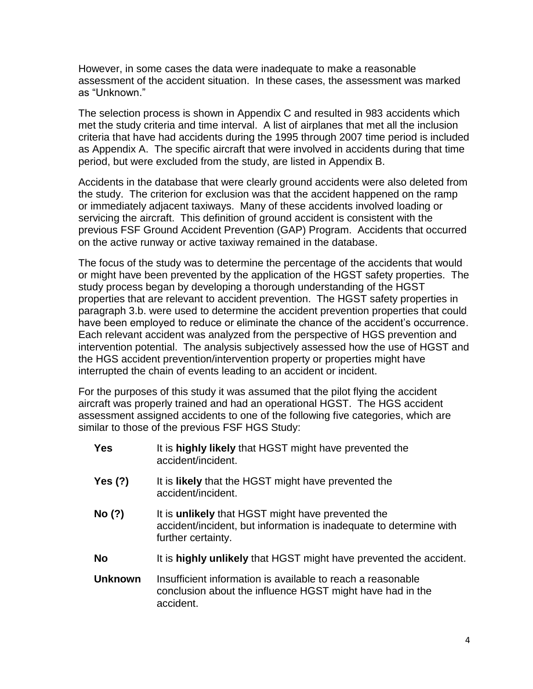However, in some cases the data were inadequate to make a reasonable assessment of the accident situation. In these cases, the assessment was marked as "Unknown."

The selection process is shown in Appendix C and resulted in 983 accidents which met the study criteria and time interval. A list of airplanes that met all the inclusion criteria that have had accidents during the 1995 through 2007 time period is included as Appendix A. The specific aircraft that were involved in accidents during that time period, but were excluded from the study, are listed in Appendix B.

Accidents in the database that were clearly ground accidents were also deleted from the study. The criterion for exclusion was that the accident happened on the ramp or immediately adjacent taxiways. Many of these accidents involved loading or servicing the aircraft. This definition of ground accident is consistent with the previous FSF Ground Accident Prevention (GAP) Program. Accidents that occurred on the active runway or active taxiway remained in the database.

The focus of the study was to determine the percentage of the accidents that would or might have been prevented by the application of the HGST safety properties. The study process began by developing a thorough understanding of the HGST properties that are relevant to accident prevention. The HGST safety properties in paragraph 3.b. were used to determine the accident prevention properties that could have been employed to reduce or eliminate the chance of the accident's occurrence. Each relevant accident was analyzed from the perspective of HGS prevention and intervention potential. The analysis subjectively assessed how the use of HGST and the HGS accident prevention/intervention property or properties might have interrupted the chain of events leading to an accident or incident.

For the purposes of this study it was assumed that the pilot flying the accident aircraft was properly trained and had an operational HGST. The HGS accident assessment assigned accidents to one of the following five categories, which are similar to those of the previous FSF HGS Study:

| <b>Yes</b>     | It is highly likely that HGST might have prevented the<br>accident/incident.                                                                         |
|----------------|------------------------------------------------------------------------------------------------------------------------------------------------------|
| <b>Yes (?)</b> | It is likely that the HGST might have prevented the<br>accident/incident.                                                                            |
| No (?)         | It is <b>unlikely</b> that HGST might have prevented the<br>accident/incident, but information is inadequate to determine with<br>further certainty. |
| <b>No</b>      | It is highly unlikely that HGST might have prevented the accident.                                                                                   |
| <b>Unknown</b> | Insufficient information is available to reach a reasonable<br>conclusion about the influence HGST might have had in the<br>accident.                |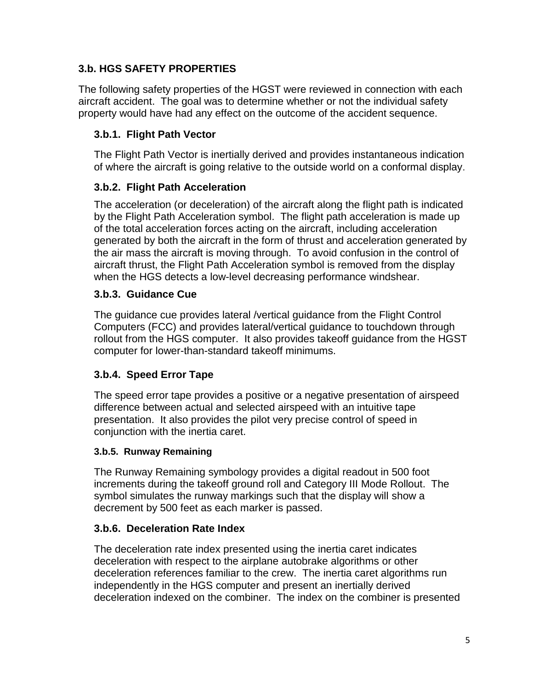## **3.b. HGS SAFETY PROPERTIES**

The following safety properties of the HGST were reviewed in connection with each aircraft accident. The goal was to determine whether or not the individual safety property would have had any effect on the outcome of the accident sequence.

## **3.b.1. Flight Path Vector**

The Flight Path Vector is inertially derived and provides instantaneous indication of where the aircraft is going relative to the outside world on a conformal display.

## **3.b.2. Flight Path Acceleration**

The acceleration (or deceleration) of the aircraft along the flight path is indicated by the Flight Path Acceleration symbol. The flight path acceleration is made up of the total acceleration forces acting on the aircraft, including acceleration generated by both the aircraft in the form of thrust and acceleration generated by the air mass the aircraft is moving through. To avoid confusion in the control of aircraft thrust, the Flight Path Acceleration symbol is removed from the display when the HGS detects a low-level decreasing performance windshear.

## **3.b.3. Guidance Cue**

The guidance cue provides lateral /vertical guidance from the Flight Control Computers (FCC) and provides lateral/vertical guidance to touchdown through rollout from the HGS computer. It also provides takeoff guidance from the HGST computer for lower-than-standard takeoff minimums.

## **3.b.4. Speed Error Tape**

The speed error tape provides a positive or a negative presentation of airspeed difference between actual and selected airspeed with an intuitive tape presentation. It also provides the pilot very precise control of speed in conjunction with the inertia caret.

#### **3.b.5. Runway Remaining**

The Runway Remaining symbology provides a digital readout in 500 foot increments during the takeoff ground roll and Category III Mode Rollout. The symbol simulates the runway markings such that the display will show a decrement by 500 feet as each marker is passed.

## **3.b.6. Deceleration Rate Index**

The deceleration rate index presented using the inertia caret indicates deceleration with respect to the airplane autobrake algorithms or other deceleration references familiar to the crew. The inertia caret algorithms run independently in the HGS computer and present an inertially derived deceleration indexed on the combiner. The index on the combiner is presented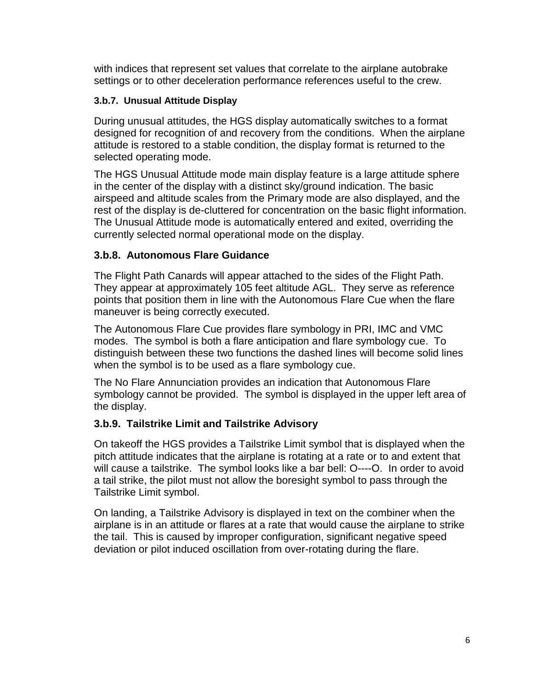with indices that represent set values that correlate to the airplane autobrake settings or to other deceleration performance references useful to the crew.

#### **3.b.7. Unusual Attitude Display**

During unusual attitudes, the HGS display automatically switches to a format designed for recognition of and recovery from the conditions. When the airplane attitude is restored to a stable condition, the display format is returned to the selected operating mode.

The HGS Unusual Attitude mode main display feature is a large attitude sphere in the center of the display with a distinct sky/ground indication. The basic airspeed and altitude scales from the Primary mode are also displayed, and the rest of the display is de-cluttered for concentration on the basic flight information. The Unusual Attitude mode is automatically entered and exited, overriding the currently selected normal operational mode on the display.

#### **3.b.8. Autonomous Flare Guidance**

The Flight Path Canards will appear attached to the sides of the Flight Path. They appear at approximately 105 feet altitude AGL. They serve as reference points that position them in line with the Autonomous Flare Cue when the flare maneuver is being correctly executed.

The Autonomous Flare Cue provides flare symbology in PRI, IMC and VMC modes. The symbol is both a flare anticipation and flare symbology cue. To distinguish between these two functions the dashed lines will become solid lines when the symbol is to be used as a flare symbology cue.

The No Flare Annunciation provides an indication that Autonomous Flare symbology cannot be provided. The symbol is displayed in the upper left area of the display.

#### **3.b.9. Tailstrike Limit and Tailstrike Advisory**

On takeoff the HGS provides a Tailstrike Limit symbol that is displayed when the pitch attitude indicates that the airplane is rotating at a rate or to and extent that will cause a tailstrike. The symbol looks like a bar bell: O----O. In order to avoid a tail strike, the pilot must not allow the boresight symbol to pass through the Tailstrike Limit symbol.

On landing, a Tailstrike Advisory is displayed in text on the combiner when the airplane is in an attitude or flares at a rate that would cause the airplane to strike the tail. This is caused by improper configuration, significant negative speed deviation or pilot induced oscillation from over-rotating during the flare.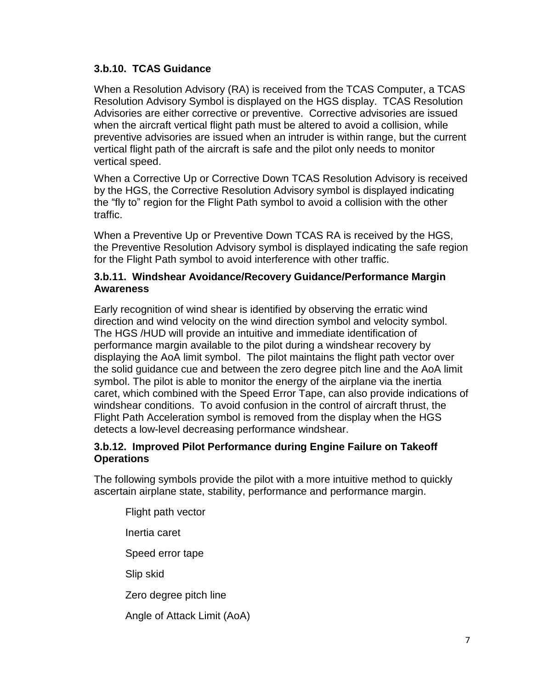#### **3.b.10. TCAS Guidance**

When a Resolution Advisory (RA) is received from the TCAS Computer, a TCAS Resolution Advisory Symbol is displayed on the HGS display. TCAS Resolution Advisories are either corrective or preventive. Corrective advisories are issued when the aircraft vertical flight path must be altered to avoid a collision, while preventive advisories are issued when an intruder is within range, but the current vertical flight path of the aircraft is safe and the pilot only needs to monitor vertical speed.

When a Corrective Up or Corrective Down TCAS Resolution Advisory is received by the HGS, the Corrective Resolution Advisory symbol is displayed indicating the "fly to" region for the Flight Path symbol to avoid a collision with the other traffic.

When a Preventive Up or Preventive Down TCAS RA is received by the HGS, the Preventive Resolution Advisory symbol is displayed indicating the safe region for the Flight Path symbol to avoid interference with other traffic.

#### **3.b.11. Windshear Avoidance/Recovery Guidance/Performance Margin Awareness**

Early recognition of wind shear is identified by observing the erratic wind direction and wind velocity on the wind direction symbol and velocity symbol. The HGS /HUD will provide an intuitive and immediate identification of performance margin available to the pilot during a windshear recovery by displaying the AoA limit symbol. The pilot maintains the flight path vector over the solid guidance cue and between the zero degree pitch line and the AoA limit symbol. The pilot is able to monitor the energy of the airplane via the inertia caret, which combined with the Speed Error Tape, can also provide indications of windshear conditions. To avoid confusion in the control of aircraft thrust, the Flight Path Acceleration symbol is removed from the display when the HGS detects a low-level decreasing performance windshear.

#### **3.b.12. Improved Pilot Performance during Engine Failure on Takeoff Operations**

The following symbols provide the pilot with a more intuitive method to quickly ascertain airplane state, stability, performance and performance margin.

Flight path vector Inertia caret Speed error tape Slip skid Zero degree pitch line Angle of Attack Limit (AoA)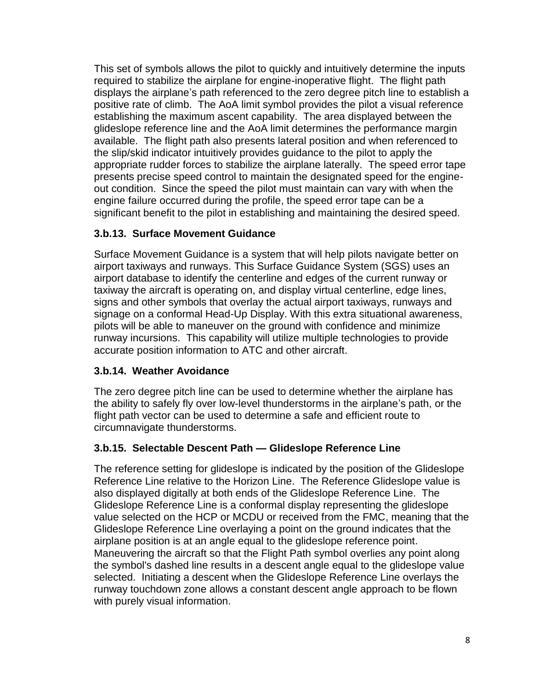This set of symbols allows the pilot to quickly and intuitively determine the inputs required to stabilize the airplane for engine-inoperative flight. The flight path displays the airplane's path referenced to the zero degree pitch line to establish a positive rate of climb. The AoA limit symbol provides the pilot a visual reference establishing the maximum ascent capability. The area displayed between the glideslope reference line and the AoA limit determines the performance margin available. The flight path also presents lateral position and when referenced to the slip/skid indicator intuitively provides guidance to the pilot to apply the appropriate rudder forces to stabilize the airplane laterally. The speed error tape presents precise speed control to maintain the designated speed for the engineout condition. Since the speed the pilot must maintain can vary with when the engine failure occurred during the profile, the speed error tape can be a significant benefit to the pilot in establishing and maintaining the desired speed.

#### **3.b.13. Surface Movement Guidance**

Surface Movement Guidance is a system that will help pilots navigate better on airport taxiways and runways. This Surface Guidance System (SGS) uses an airport database to identify the centerline and edges of the current runway or taxiway the aircraft is operating on, and display virtual centerline, edge lines, signs and other symbols that overlay the actual airport taxiways, runways and signage on a conformal Head-Up Display. With this extra situational awareness, pilots will be able to maneuver on the ground with confidence and minimize runway incursions. This capability will utilize multiple technologies to provide accurate position information to ATC and other aircraft.

#### **3.b.14. Weather Avoidance**

The zero degree pitch line can be used to determine whether the airplane has the ability to safely fly over low-level thunderstorms in the airplane's path, or the flight path vector can be used to determine a safe and efficient route to circumnavigate thunderstorms.

#### **3.b.15. Selectable Descent Path — Glideslope Reference Line**

The reference setting for glideslope is indicated by the position of the Glideslope Reference Line relative to the Horizon Line. The Reference Glideslope value is also displayed digitally at both ends of the Glideslope Reference Line. The Glideslope Reference Line is a conformal display representing the glideslope value selected on the HCP or MCDU or received from the FMC, meaning that the Glideslope Reference Line overlaying a point on the ground indicates that the airplane position is at an angle equal to the glideslope reference point. Maneuvering the aircraft so that the Flight Path symbol overlies any point along the symbol's dashed line results in a descent angle equal to the glideslope value selected. Initiating a descent when the Glideslope Reference Line overlays the runway touchdown zone allows a constant descent angle approach to be flown with purely visual information.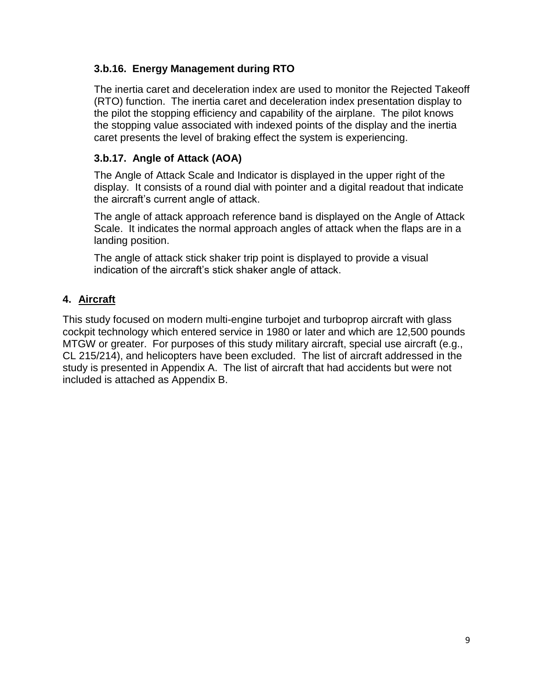#### **3.b.16. Energy Management during RTO**

The inertia caret and deceleration index are used to monitor the Rejected Takeoff (RTO) function. The inertia caret and deceleration index presentation display to the pilot the stopping efficiency and capability of the airplane. The pilot knows the stopping value associated with indexed points of the display and the inertia caret presents the level of braking effect the system is experiencing.

#### **3.b.17. Angle of Attack (AOA)**

The Angle of Attack Scale and Indicator is displayed in the upper right of the display. It consists of a round dial with pointer and a digital readout that indicate the aircraft's current angle of attack.

The angle of attack approach reference band is displayed on the Angle of Attack Scale. It indicates the normal approach angles of attack when the flaps are in a landing position.

The angle of attack stick shaker trip point is displayed to provide a visual indication of the aircraft's stick shaker angle of attack.

#### **4. Aircraft**

This study focused on modern multi-engine turbojet and turboprop aircraft with glass cockpit technology which entered service in 1980 or later and which are 12,500 pounds MTGW or greater. For purposes of this study military aircraft, special use aircraft (e.g., CL 215/214), and helicopters have been excluded. The list of aircraft addressed in the study is presented in Appendix A. The list of aircraft that had accidents but were not included is attached as Appendix B.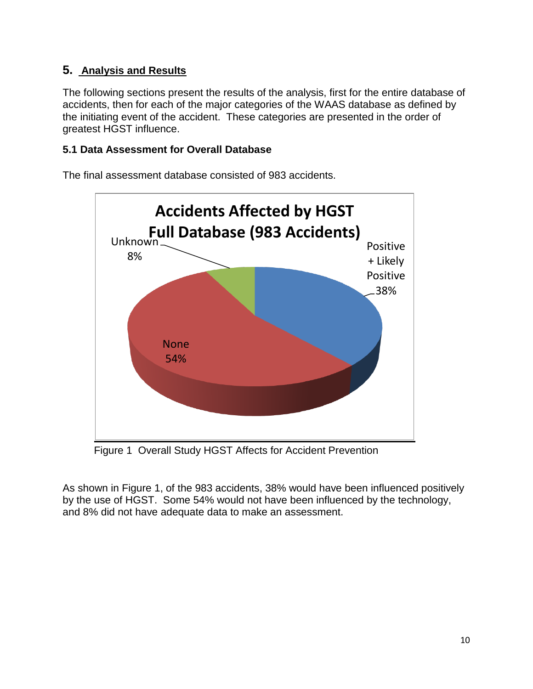## **5. Analysis and Results**

The following sections present the results of the analysis, first for the entire database of accidents, then for each of the major categories of the WAAS database as defined by the initiating event of the accident. These categories are presented in the order of greatest HGST influence.

#### **5.1 Data Assessment for Overall Database**

The final assessment database consisted of 983 accidents.



Figure 1 Overall Study HGST Affects for Accident Prevention

As shown in Figure 1, of the 983 accidents, 38% would have been influenced positively by the use of HGST. Some 54% would not have been influenced by the technology, and 8% did not have adequate data to make an assessment.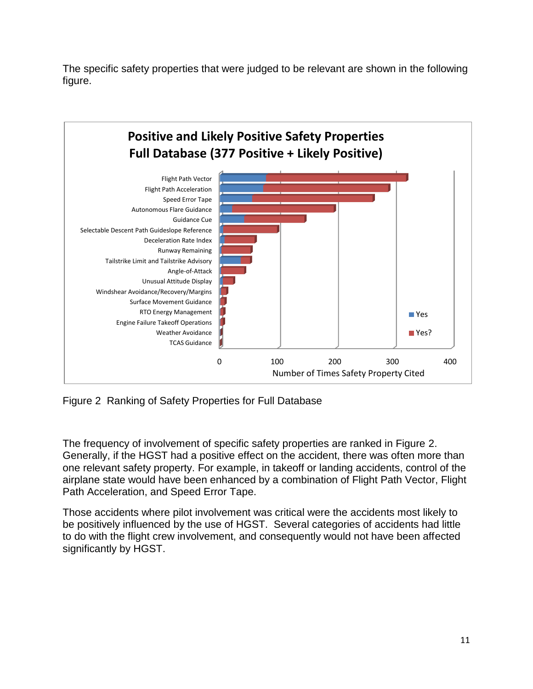The specific safety properties that were judged to be relevant are shown in the following figure.



Figure 2 Ranking of Safety Properties for Full Database

The frequency of involvement of specific safety properties are ranked in Figure 2. Generally, if the HGST had a positive effect on the accident, there was often more than one relevant safety property. For example, in takeoff or landing accidents, control of the airplane state would have been enhanced by a combination of Flight Path Vector, Flight Path Acceleration, and Speed Error Tape.

Those accidents where pilot involvement was critical were the accidents most likely to be positively influenced by the use of HGST. Several categories of accidents had little to do with the flight crew involvement, and consequently would not have been affected significantly by HGST.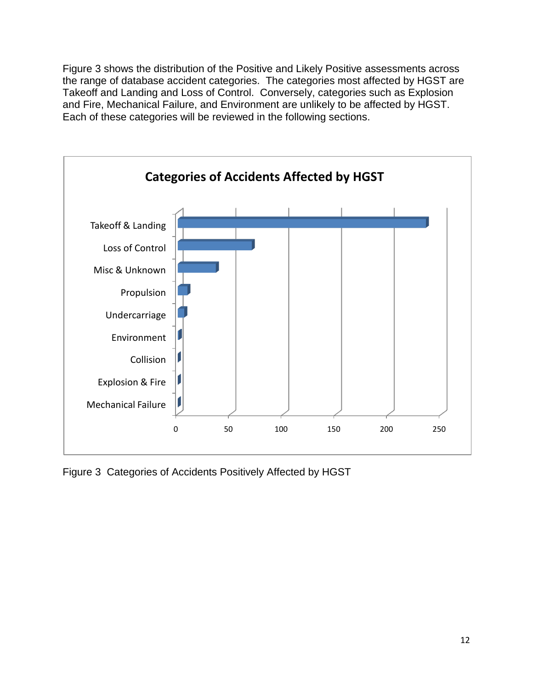Figure 3 shows the distribution of the Positive and Likely Positive assessments across the range of database accident categories. The categories most affected by HGST are Takeoff and Landing and Loss of Control. Conversely, categories such as Explosion and Fire, Mechanical Failure, and Environment are unlikely to be affected by HGST. Each of these categories will be reviewed in the following sections.



Figure 3 Categories of Accidents Positively Affected by HGST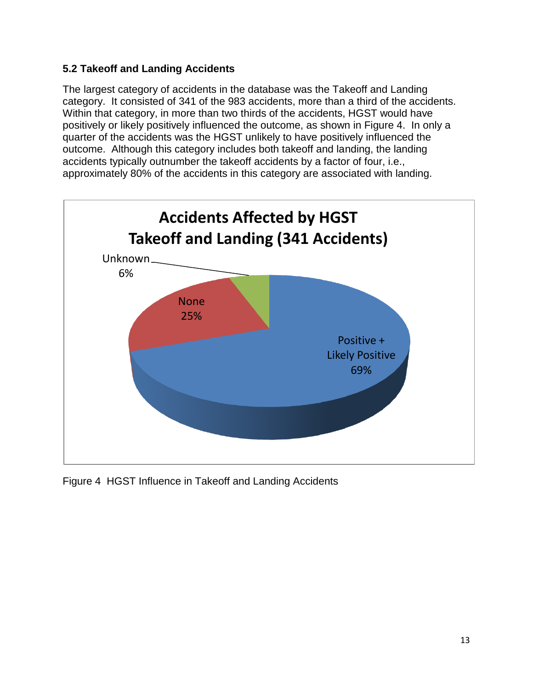#### **5.2 Takeoff and Landing Accidents**

The largest category of accidents in the database was the Takeoff and Landing category. It consisted of 341 of the 983 accidents, more than a third of the accidents. Within that category, in more than two thirds of the accidents, HGST would have positively or likely positively influenced the outcome, as shown in Figure 4. In only a quarter of the accidents was the HGST unlikely to have positively influenced the outcome. Although this category includes both takeoff and landing, the landing accidents typically outnumber the takeoff accidents by a factor of four, i.e., approximately 80% of the accidents in this category are associated with landing.



Figure 4 HGST Influence in Takeoff and Landing Accidents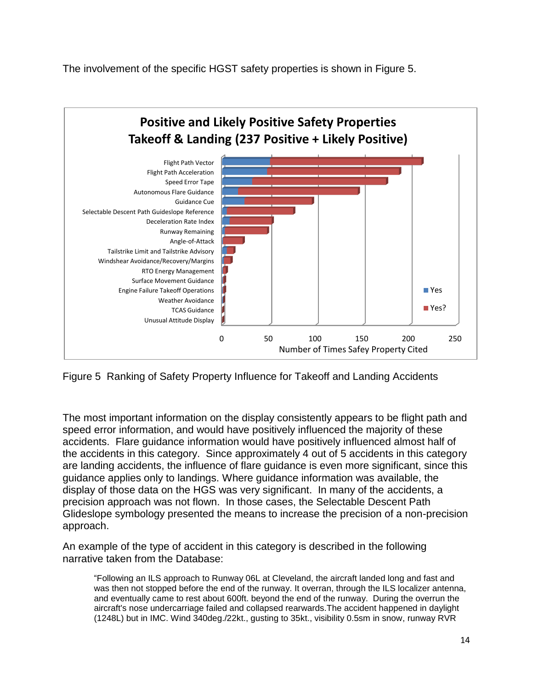The involvement of the specific HGST safety properties is shown in Figure 5.



Figure 5 Ranking of Safety Property Influence for Takeoff and Landing Accidents

The most important information on the display consistently appears to be flight path and speed error information, and would have positively influenced the majority of these accidents. Flare guidance information would have positively influenced almost half of the accidents in this category. Since approximately 4 out of 5 accidents in this category are landing accidents, the influence of flare guidance is even more significant, since this guidance applies only to landings. Where guidance information was available, the display of those data on the HGS was very significant. In many of the accidents, a precision approach was not flown. In those cases, the Selectable Descent Path Glideslope symbology presented the means to increase the precision of a non-precision approach.

An example of the type of accident in this category is described in the following narrative taken from the Database:

"Following an ILS approach to Runway 06L at Cleveland, the aircraft landed long and fast and was then not stopped before the end of the runway. It overran, through the ILS localizer antenna, and eventually came to rest about 600ft. beyond the end of the runway. During the overrun the aircraft's nose undercarriage failed and collapsed rearwards.The accident happened in daylight (1248L) but in IMC. Wind 340deg./22kt., gusting to 35kt., visibility 0.5sm in snow, runway RVR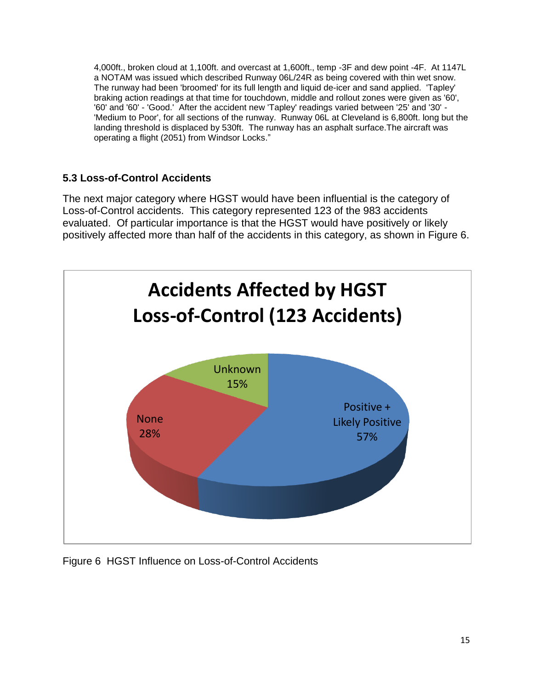4,000ft., broken cloud at 1,100ft. and overcast at 1,600ft., temp -3F and dew point -4F. At 1147L a NOTAM was issued which described Runway 06L/24R as being covered with thin wet snow. The runway had been 'broomed' for its full length and liquid de-icer and sand applied. 'Tapley' braking action readings at that time for touchdown, middle and rollout zones were given as '60', '60' and '60' - 'Good.' After the accident new 'Tapley' readings varied between '25' and '30' - 'Medium to Poor', for all sections of the runway. Runway 06L at Cleveland is 6,800ft. long but the landing threshold is displaced by 530ft. The runway has an asphalt surface.The aircraft was operating a flight (2051) from Windsor Locks."

## **5.3 Loss-of-Control Accidents**

The next major category where HGST would have been influential is the category of Loss-of-Control accidents. This category represented 123 of the 983 accidents evaluated. Of particular importance is that the HGST would have positively or likely positively affected more than half of the accidents in this category, as shown in Figure 6.



Figure 6 HGST Influence on Loss-of-Control Accidents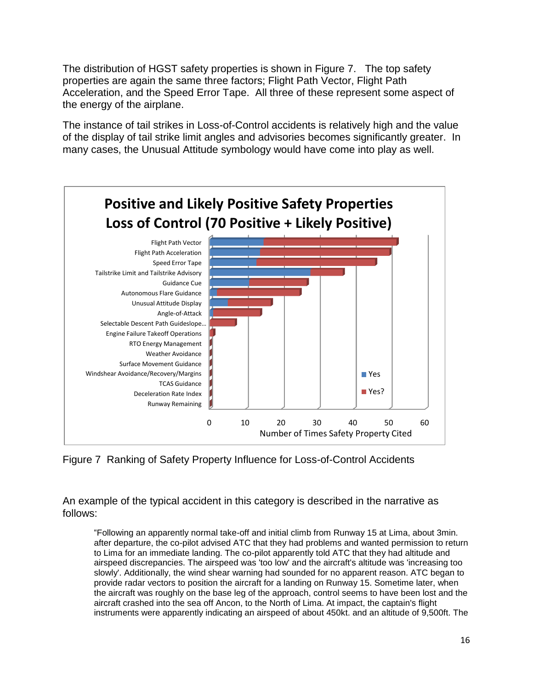The distribution of HGST safety properties is shown in Figure 7. The top safety properties are again the same three factors; Flight Path Vector, Flight Path Acceleration, and the Speed Error Tape. All three of these represent some aspect of the energy of the airplane.

The instance of tail strikes in Loss-of-Control accidents is relatively high and the value of the display of tail strike limit angles and advisories becomes significantly greater. In many cases, the Unusual Attitude symbology would have come into play as well.

![](_page_16_Figure_2.jpeg)

Figure 7 Ranking of Safety Property Influence for Loss-of-Control Accidents

An example of the typical accident in this category is described in the narrative as follows:

"Following an apparently normal take-off and initial climb from Runway 15 at Lima, about 3min. after departure, the co-pilot advised ATC that they had problems and wanted permission to return to Lima for an immediate landing. The co-pilot apparently told ATC that they had altitude and airspeed discrepancies. The airspeed was 'too low' and the aircraft's altitude was 'increasing too slowly'. Additionally, the wind shear warning had sounded for no apparent reason. ATC began to provide radar vectors to position the aircraft for a landing on Runway 15. Sometime later, when the aircraft was roughly on the base leg of the approach, control seems to have been lost and the aircraft crashed into the sea off Ancon, to the North of Lima. At impact, the captain's flight instruments were apparently indicating an airspeed of about 450kt. and an altitude of 9,500ft. The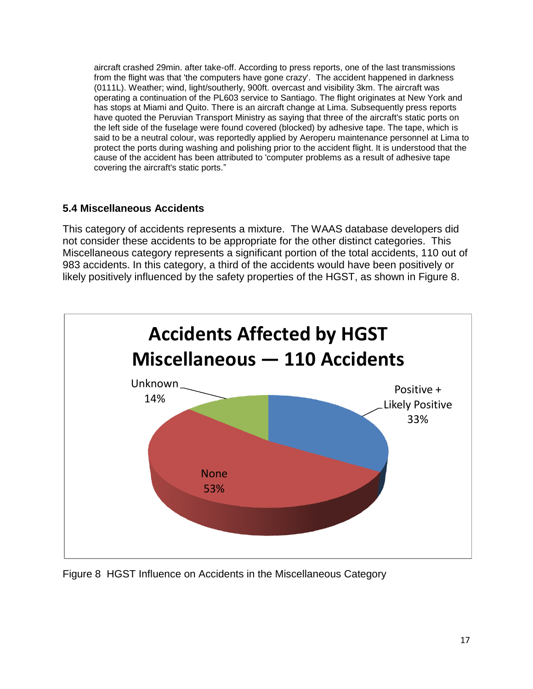aircraft crashed 29min. after take-off. According to press reports, one of the last transmissions from the flight was that 'the computers have gone crazy'. The accident happened in darkness (0111L). Weather; wind, light/southerly, 900ft. overcast and visibility 3km. The aircraft was operating a continuation of the PL603 service to Santiago. The flight originates at New York and has stops at Miami and Quito. There is an aircraft change at Lima. Subsequently press reports have quoted the Peruvian Transport Ministry as saying that three of the aircraft's static ports on the left side of the fuselage were found covered (blocked) by adhesive tape. The tape, which is said to be a neutral colour, was reportedly applied by Aeroperu maintenance personnel at Lima to protect the ports during washing and polishing prior to the accident flight. It is understood that the cause of the accident has been attributed to 'computer problems as a result of adhesive tape covering the aircraft's static ports."

#### **5.4 Miscellaneous Accidents**

This category of accidents represents a mixture. The WAAS database developers did not consider these accidents to be appropriate for the other distinct categories. This Miscellaneous category represents a significant portion of the total accidents, 110 out of 983 accidents. In this category, a third of the accidents would have been positively or likely positively influenced by the safety properties of the HGST, as shown in Figure 8.

![](_page_17_Figure_3.jpeg)

Figure 8 HGST Influence on Accidents in the Miscellaneous Category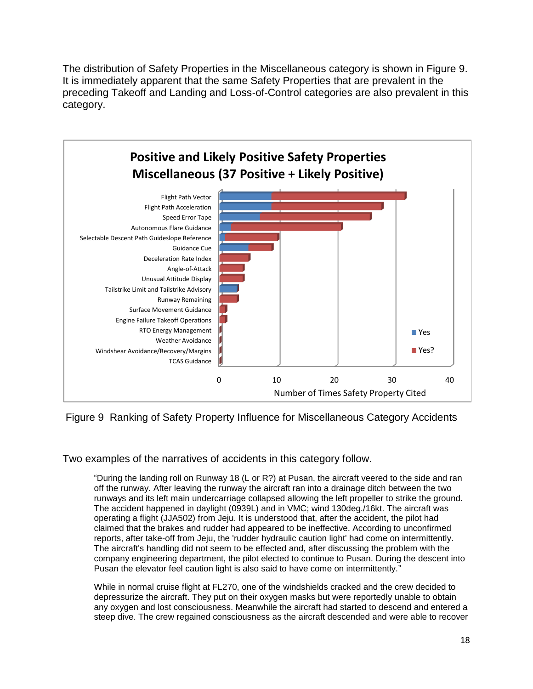The distribution of Safety Properties in the Miscellaneous category is shown in Figure 9. It is immediately apparent that the same Safety Properties that are prevalent in the preceding Takeoff and Landing and Loss-of-Control categories are also prevalent in this category.

![](_page_18_Figure_1.jpeg)

Figure 9 Ranking of Safety Property Influence for Miscellaneous Category Accidents

Two examples of the narratives of accidents in this category follow.

"During the landing roll on Runway 18 (L or R?) at Pusan, the aircraft veered to the side and ran off the runway. After leaving the runway the aircraft ran into a drainage ditch between the two runways and its left main undercarriage collapsed allowing the left propeller to strike the ground. The accident happened in daylight (0939L) and in VMC; wind 130deg./16kt. The aircraft was operating a flight (JJA502) from Jeju. It is understood that, after the accident, the pilot had claimed that the brakes and rudder had appeared to be ineffective. According to unconfirmed reports, after take-off from Jeju, the 'rudder hydraulic caution light' had come on intermittently. The aircraft's handling did not seem to be effected and, after discussing the problem with the company engineering department, the pilot elected to continue to Pusan. During the descent into Pusan the elevator feel caution light is also said to have come on intermittently."

While in normal cruise flight at FL270, one of the windshields cracked and the crew decided to depressurize the aircraft. They put on their oxygen masks but were reportedly unable to obtain any oxygen and lost consciousness. Meanwhile the aircraft had started to descend and entered a steep dive. The crew regained consciousness as the aircraft descended and were able to recover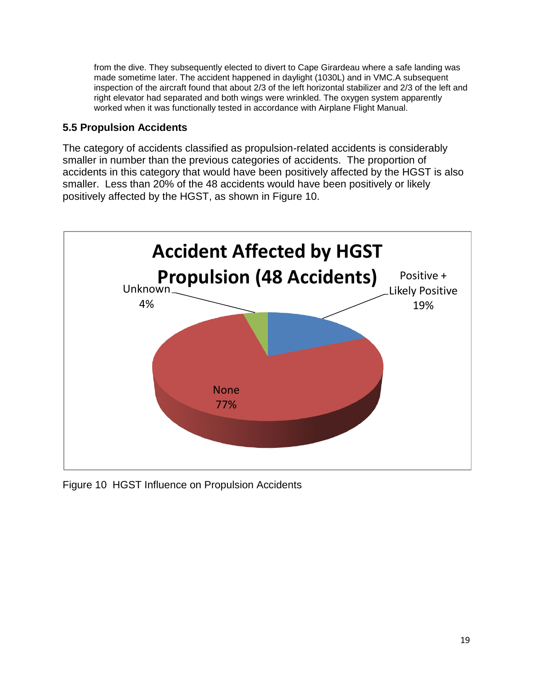from the dive. They subsequently elected to divert to Cape Girardeau where a safe landing was made sometime later. The accident happened in daylight (1030L) and in VMC.A subsequent inspection of the aircraft found that about 2/3 of the left horizontal stabilizer and 2/3 of the left and right elevator had separated and both wings were wrinkled. The oxygen system apparently worked when it was functionally tested in accordance with Airplane Flight Manual.

#### **5.5 Propulsion Accidents**

The category of accidents classified as propulsion-related accidents is considerably smaller in number than the previous categories of accidents. The proportion of accidents in this category that would have been positively affected by the HGST is also smaller. Less than 20% of the 48 accidents would have been positively or likely positively affected by the HGST, as shown in Figure 10.

![](_page_19_Figure_3.jpeg)

Figure 10 HGST Influence on Propulsion Accidents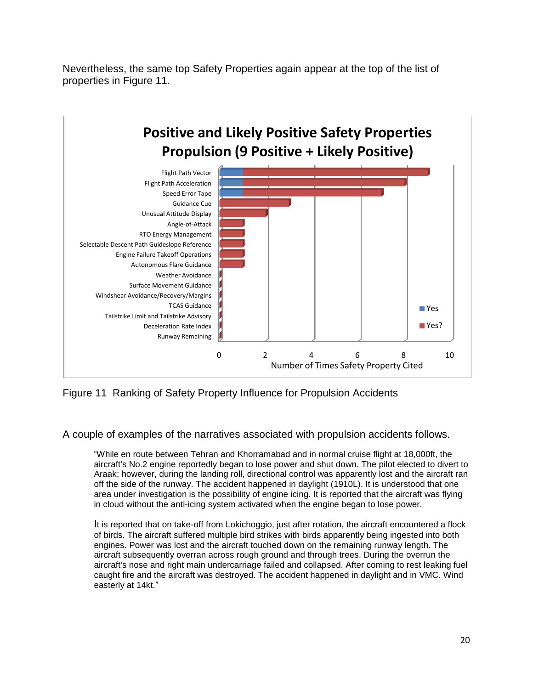Nevertheless, the same top Safety Properties again appear at the top of the list of properties in Figure 11.

![](_page_20_Figure_1.jpeg)

Figure 11 Ranking of Safety Property Influence for Propulsion Accidents

A couple of examples of the narratives associated with propulsion accidents follows.

"While en route between Tehran and Khorramabad and in normal cruise flight at 18,000ft, the aircraft's No.2 engine reportedly began to lose power and shut down. The pilot elected to divert to Araak; however, during the landing roll, directional control was apparently lost and the aircraft ran off the side of the runway. The accident happened in daylight (1910L). It is understood that one area under investigation is the possibility of engine icing. It is reported that the aircraft was flying in cloud without the anti-icing system activated when the engine began to lose power.

It is reported that on take-off from Lokichoggio, just after rotation, the aircraft encountered a flock of birds. The aircraft suffered multiple bird strikes with birds apparently being ingested into both engines. Power was lost and the aircraft touched down on the remaining runway length. The aircraft subsequently overran across rough ground and through trees. During the overrun the aircraft's nose and right main undercarriage failed and collapsed. After coming to rest leaking fuel caught fire and the aircraft was destroyed. The accident happened in daylight and in VMC. Wind easterly at 14kt."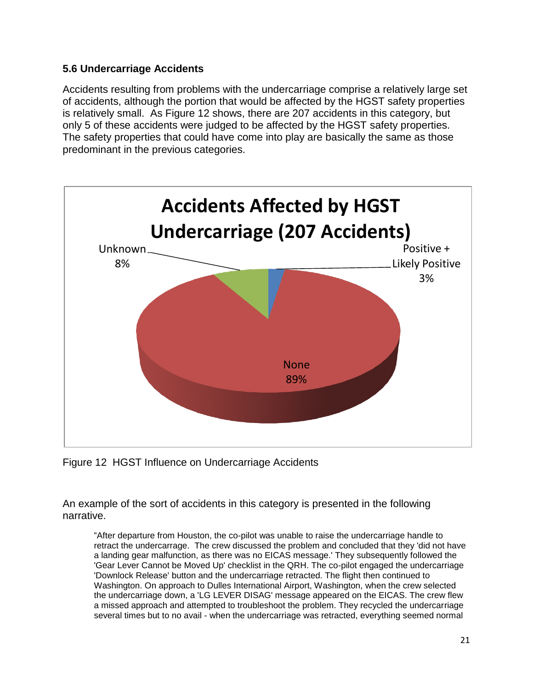#### **5.6 Undercarriage Accidents**

Accidents resulting from problems with the undercarriage comprise a relatively large set of accidents, although the portion that would be affected by the HGST safety properties is relatively small. As Figure 12 shows, there are 207 accidents in this category, but only 5 of these accidents were judged to be affected by the HGST safety properties. The safety properties that could have come into play are basically the same as those predominant in the previous categories.

![](_page_21_Figure_2.jpeg)

Figure 12 HGST Influence on Undercarriage Accidents

An example of the sort of accidents in this category is presented in the following narrative.

"After departure from Houston, the co-pilot was unable to raise the undercarriage handle to retract the undercarrage. The crew discussed the problem and concluded that they 'did not have a landing gear malfunction, as there was no EICAS message.' They subsequently followed the 'Gear Lever Cannot be Moved Up' checklist in the QRH. The co-pilot engaged the undercarriage 'Downlock Release' button and the undercarriage retracted. The flight then continued to Washington. On approach to Dulles International Airport, Washington, when the crew selected the undercarriage down, a 'LG LEVER DISAG' message appeared on the EICAS. The crew flew a missed approach and attempted to troubleshoot the problem. They recycled the undercarriage several times but to no avail - when the undercarriage was retracted, everything seemed normal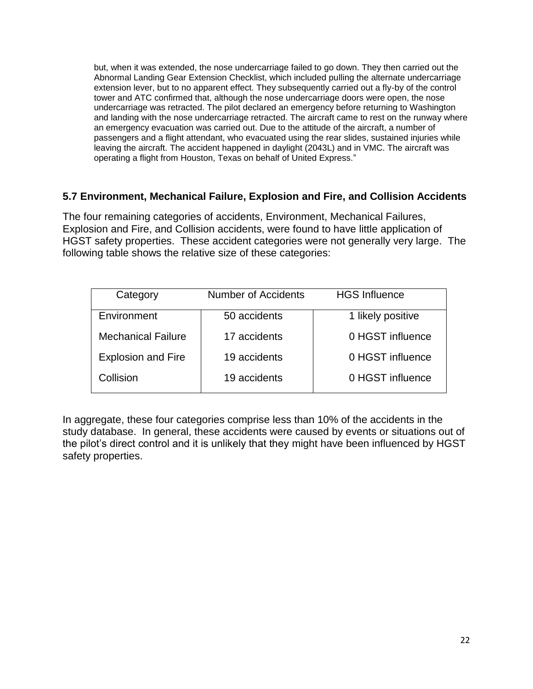but, when it was extended, the nose undercarriage failed to go down. They then carried out the Abnormal Landing Gear Extension Checklist, which included pulling the alternate undercarriage extension lever, but to no apparent effect. They subsequently carried out a fly-by of the control tower and ATC confirmed that, although the nose undercarriage doors were open, the nose undercarriage was retracted. The pilot declared an emergency before returning to Washington and landing with the nose undercarriage retracted. The aircraft came to rest on the runway where an emergency evacuation was carried out. Due to the attitude of the aircraft, a number of passengers and a flight attendant, who evacuated using the rear slides, sustained injuries while leaving the aircraft. The accident happened in daylight (2043L) and in VMC. The aircraft was operating a flight from Houston, Texas on behalf of United Express."

#### **5.7 Environment, Mechanical Failure, Explosion and Fire, and Collision Accidents**

The four remaining categories of accidents, Environment, Mechanical Failures, Explosion and Fire, and Collision accidents, were found to have little application of HGST safety properties. These accident categories were not generally very large. The following table shows the relative size of these categories:

| Category                  | Number of Accidents | <b>HGS Influence</b> |
|---------------------------|---------------------|----------------------|
| Environment               | 50 accidents        | 1 likely positive    |
| <b>Mechanical Failure</b> | 17 accidents        | 0 HGST influence     |
| <b>Explosion and Fire</b> | 19 accidents        | 0 HGST influence     |
| Collision                 | 19 accidents        | 0 HGST influence     |

In aggregate, these four categories comprise less than 10% of the accidents in the study database. In general, these accidents were caused by events or situations out of the pilot's direct control and it is unlikely that they might have been influenced by HGST safety properties.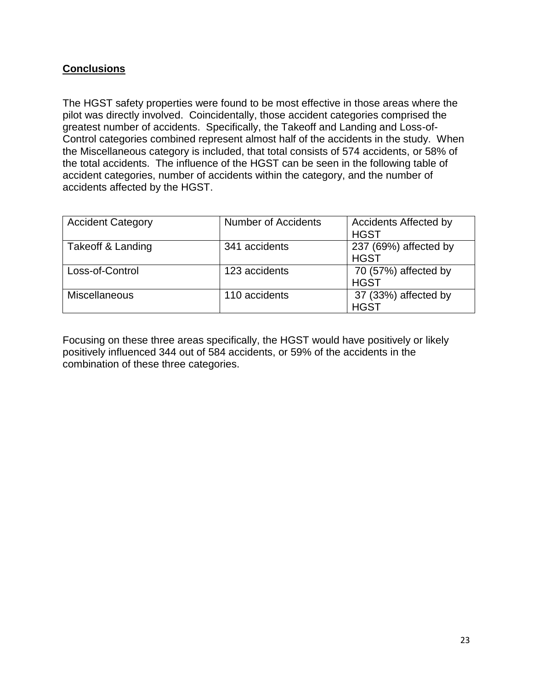#### **Conclusions**

The HGST safety properties were found to be most effective in those areas where the pilot was directly involved. Coincidentally, those accident categories comprised the greatest number of accidents. Specifically, the Takeoff and Landing and Loss-of-Control categories combined represent almost half of the accidents in the study. When the Miscellaneous category is included, that total consists of 574 accidents, or 58% of the total accidents. The influence of the HGST can be seen in the following table of accident categories, number of accidents within the category, and the number of accidents affected by the HGST.

| <b>Accident Category</b> | <b>Number of Accidents</b> | <b>Accidents Affected by</b><br><b>HGST</b> |
|--------------------------|----------------------------|---------------------------------------------|
| Takeoff & Landing        | 341 accidents              | 237 (69%) affected by<br><b>HGST</b>        |
| Loss-of-Control          | 123 accidents              | 70 (57%) affected by<br><b>HGST</b>         |
| <b>Miscellaneous</b>     | 110 accidents              | 37 (33%) affected by<br><b>HGST</b>         |

Focusing on these three areas specifically, the HGST would have positively or likely positively influenced 344 out of 584 accidents, or 59% of the accidents in the combination of these three categories.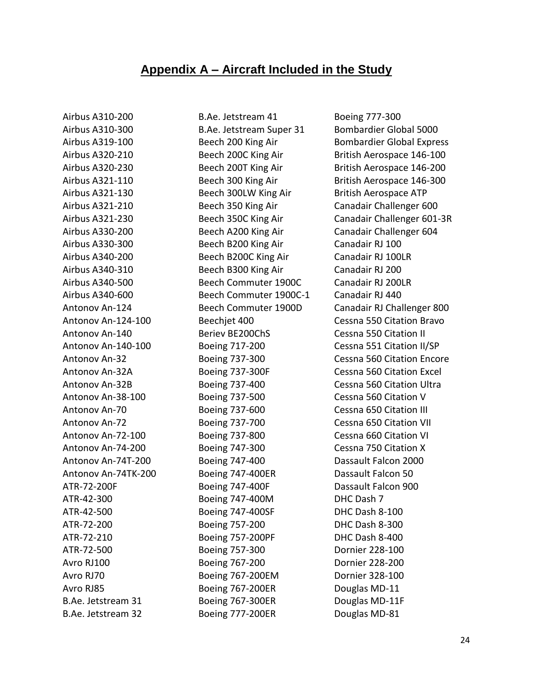## **Appendix A – Aircraft Included in the Study**

Airbus A310-200 Airbus A310-300 Airbus A319-100 Airbus A320-210 Airbus A320-230 Airbus A321-110 Airbus A321-130 Airbus A321-210 Airbus A321-230 Airbus A330-200 Airbus A330-300 Airbus A340-200 Airbus A340-310 Airbus A340-500 Airbus A340-600 Antonov An-124 Antonov An-124-100 Antonov An-140 Antonov An-140-100 Antonov An-32 Antonov An-32A Antonov An-32B Antonov An-38-100 Antonov An-70 Antonov An-72 Antonov An-72-100 Antonov An-74-200 Antonov An-74T-200 Antonov An-74TK-200 ATR-72-200F ATR-42-300 ATR-42-500 ATR-72-200 ATR-72-210 ATR-72-500 Avro RJ100 Avro RJ70 Avro RJ85 B.Ae. Jetstream 31 B.Ae. Jetstream 32

B.Ae. Jetstream 41 B.Ae. Jetstream Super 31 Beech 200 King Air Beech 200C King Air Beech 200T King Air Beech 300 King Air Beech 300LW King Air Beech 350 King Air Beech 350C King Air Beech A200 King Air Beech B200 King Air Beech B200C King Air Beech B300 King Air Beech Commuter 1900C Beech Commuter 1900C-1 Beech Commuter 1900D Beechjet 400 Beriev BE200ChS Boeing 717-200 Boeing 737-300 Boeing 737-300F Boeing 737-400 Boeing 737-500 Boeing 737-600 Boeing 737-700 Boeing 737-800 Boeing 747-300 Boeing 747-400 Boeing 747-400ER Boeing 747-400F Boeing 747-400M Boeing 747-400SF Boeing 757-200 Boeing 757-200PF Boeing 757-300 Boeing 767-200 Boeing 767-200EM Boeing 767-200ER Boeing 767-300ER Boeing 777-200ER

Boeing 777-300 Bombardier Global 5000 Bombardier Global Express British Aerospace 146-100 British Aerospace 146-200 British Aerospace 146-300 British Aerospace ATP Canadair Challenger 600 Canadair Challenger 601-3R Canadair Challenger 604 Canadair RJ 100 Canadair RJ 100LR Canadair RJ 200 Canadair RJ 200LR Canadair RJ 440 Canadair RJ Challenger 800 Cessna 550 Citation Bravo Cessna 550 Citation II Cessna 551 Citation II/SP Cessna 560 Citation Encore Cessna 560 Citation Excel Cessna 560 Citation Ultra Cessna 560 Citation V Cessna 650 Citation III Cessna 650 Citation VII Cessna 660 Citation VI Cessna 750 Citation X Dassault Falcon 2000 Dassault Falcon 50 Dassault Falcon 900 DHC Dash 7 DHC Dash 8-100 DHC Dash 8-300 DHC Dash 8-400 Dornier 228-100 Dornier 228-200 Dornier 328-100 Douglas MD-11 Douglas MD-11F Douglas MD-81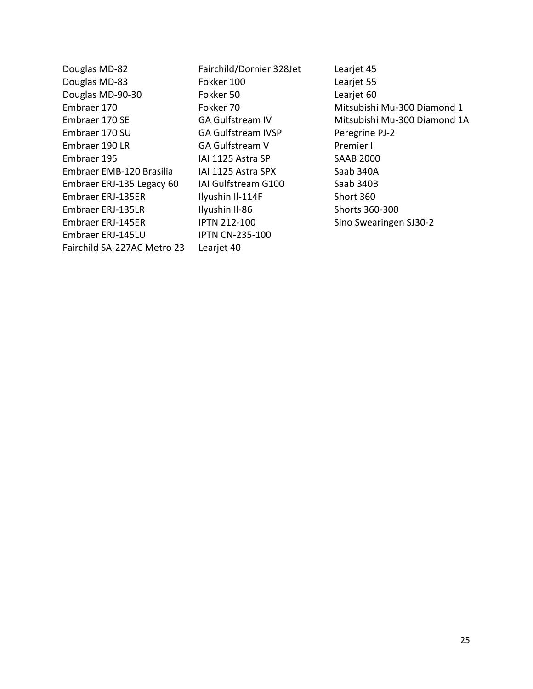Douglas MD-82 Douglas MD-83 Douglas MD-90-30 Embraer 170 Embraer 170 SE Embraer 170 SU Embraer 190 LR Embraer 195 Embraer EMB-120 Brasilia Embraer ERJ-135 Legacy 60 Embraer ERJ-135ER Embraer ERJ-135LR Embraer ERJ-145ER Embraer ERJ-145LU Fairchild SA-227AC Metro 23

Fairchild/Dornier 328Jet Fokker 100 Fokker 50 Fokker 70 GA Gulfstream IV GA Gulfstream IVSP GA Gulfstream V IAI 1125 Astra SP IAI 1125 Astra SPX IAI Gulfstream G100 Ilyushin Il-114F Ilyushin Il-86 IPTN 212-100 IPTN CN-235-100 Learjet 40

Learjet 45 Learjet 55 Learjet 60 Mitsubishi Mu-300 Diamond 1 Mitsubishi Mu-300 Diamond 1A Peregrine PJ-2 Premier I SAAB 2000 Saab 340A Saab 340B Short 360 Shorts 360-300 Sino Swearingen SJ30-2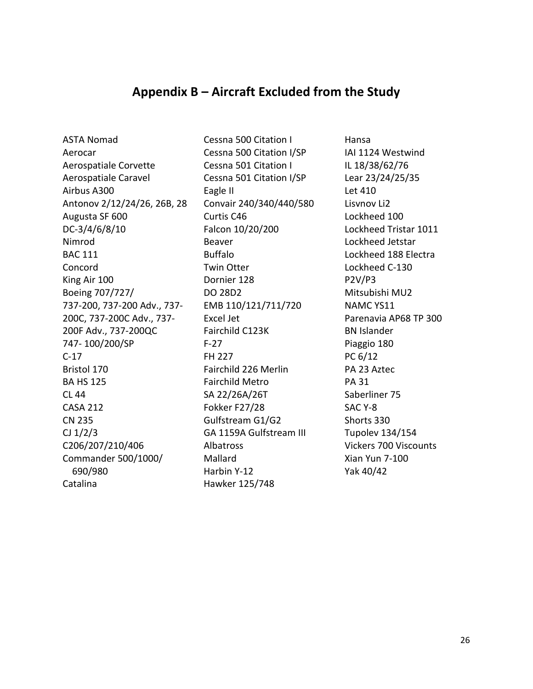## **Appendix B – Aircraft Excluded from the Study**

ASTA Nomad Aerocar Aerospatiale Corvette Aerospatiale Caravel Airbus A300 Antonov 2/12/24/26, 26B, 28 Augusta SF 600 DC-3/4/6/8/10 Nimrod BAC 111 Concord King Air 100 Boeing 707/727/ 737-200, 737-200 Adv., 737- 200C, 737-200C Adv., 737- 200F Adv., 737-200QC 747- 100/200/SP C-17 Bristol 170 BA HS 125 CL 44 CASA 212 CN 235 CJ 1/2/3 C206/207/210/406 Commander 500/1000/ 690/980 Catalina

Cessna 500 Citation I Cessna 500 Citation I/SP Cessna 501 Citation I Cessna 501 Citation I/SP Eagle II Convair 240/340/440/580 Curtis C46 Falcon 10/20/200 Beaver Buffalo Twin Otter Dornier 128 DO 28D2 EMB 110/121/711/720 Excel Jet Fairchild C123K F-27 FH 227 Fairchild 226 Merlin Fairchild Metro SA 22/26A/26T Fokker F27/28 Gulfstream G1/G2 GA 1159A Gulfstream III Albatross Mallard Harbin Y-12 Hawker 125/748

Hansa IAI 1124 Westwind IL 18/38/62/76 Lear 23/24/25/35 Let 410 Lisvnov Li2 Lockheed 100 Lockheed Tristar 1011 Lockheed Jetstar Lockheed 188 Electra Lockheed C-130 P2V/P3 Mitsubishi MU2 NAMC YS11 Parenavia AP68 TP 300 BN Islander Piaggio 180 PC 6/12 PA 23 Aztec PA 31 Saberliner 75 SAC Y-8 Shorts 330 Tupolev 134/154 Vickers 700 Viscounts Xian Yun 7-100 Yak 40/42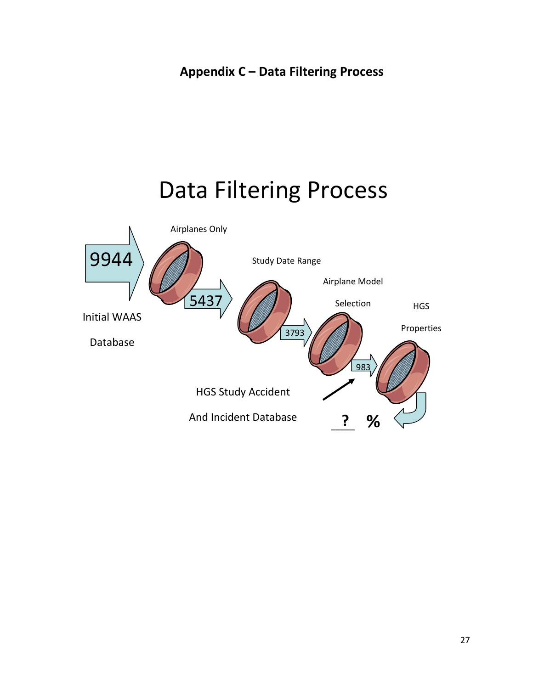# Data Filtering Process

![](_page_27_Figure_2.jpeg)